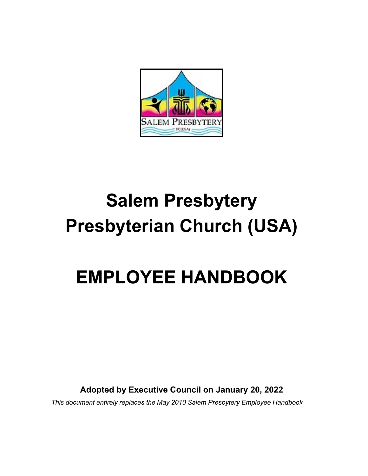

# **Salem Presbytery Presbyterian Church (USA)**

# **EMPLOYEE HANDBOOK**

**Adopted by Executive Council on January 20, 2022**

*This document entirely replaces the May 2010 Salem Presbytery Employee Handbook*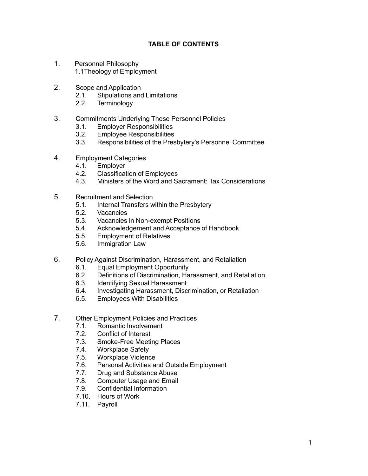#### **TABLE OF CONTENTS**

- 1. Personnel Philosophy 1.1Theology of Employment
- 2. Scope and Application
	- 2.1. Stipulations and Limitations
	- 2.2. Terminology
- 3. Commitments Underlying These Personnel Policies
	- 3.1. Employer Responsibilities
	- 3.2. Employee Responsibilities
	- 3.3. Responsibilities of the Presbytery's Personnel Committee
- 4. Employment Categories
	- 4.1. Employer
	- 4.2. Classification of Employees
	- 4.3. Ministers of the Word and Sacrament: Tax Considerations
- 5. Recruitment and Selection
	- 5.1. Internal Transfers within the Presbytery<br>5.2. Vacancies
	- **Vacancies**
	- 5.3. Vacancies in Non-exempt Positions<br>5.4. Acknowledgement and Acceptance
	- 5.4. Acknowledgement and Acceptance of Handbook
	- 5.5. Employment of Relatives
	- 5.6. Immigration Law
- 6. Policy Against Discrimination, Harassment, and Retaliation
	- 6.1. Equal Employment Opportunity
	- 6.2. Definitions of Discrimination, Harassment, and Retaliation
	- 6.3. Identifying Sexual Harassment
	- 6.4. Investigating Harassment, Discrimination, or Retaliation
	- 6.5. Employees With Disabilities
- 7. Other Employment Policies and Practices
	- 7.1. Romantic Involvement
	- 7.2. Conflict of Interest
	- 7.3. Smoke-Free Meeting Places
	- 7.4. Workplace Safety
	- 7.5. Workplace Violence
	- 7.6. Personal Activities and Outside Employment
	- 7.7. Drug and Substance Abuse
	- 7.8. Computer Usage and Email
	- 7.9. Confidential Information
	- 7.10. Hours of Work
	- 7.11. Payroll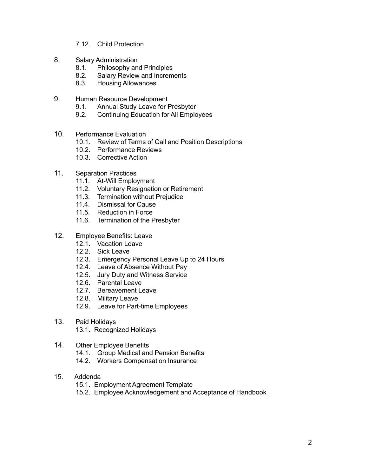- 7.12. Child Protection
- 8. Salary Administration
	- 8.1. Philosophy and Principles
	- 8.2. Salary Review and Increments
	- 8.3. Housing Allowances
- 9. Human Resource Development
	- 9.1. Annual Study Leave for Presbyter
	- 9.2. Continuing Education for All Employees
- 10. Performance Evaluation
	- 10.1. Review of Terms of Call and Position Descriptions
	- 10.2. Performance Reviews
	- 10.3. Corrective Action
- 11. Separation Practices
	- 11.1. At-Will Employment
	- 11.2. Voluntary Resignation or Retirement
	- 11.3. Termination without Prejudice
	- 11.4. Dismissal for Cause
	- 11.5. Reduction in Force
	- 11.6. Termination of the Presbyter
- 12. Employee Benefits: Leave
	- 12.1. Vacation Leave
	- 12.2. Sick Leave
	- 12.3. Emergency Personal Leave Up to 24 Hours
	- 12.4. Leave of Absence Without Pay
	- 12.5. Jury Duty and Witness Service
	- 12.6. Parental Leave
	- 12.7. Bereavement Leave
	- 12.8. Military Leave
	- 12.9. Leave for Part-time Employees
- 13. Paid Holidays 13.1. Recognized Holidays

#### 14. Other Employee Benefits

- 14.1. Group Medical and Pension Benefits
- 14.2. Workers Compensation Insurance
- 15. Addenda
	- 15.1. Employment Agreement Template
	- 15.2. Employee Acknowledgement and Acceptance of Handbook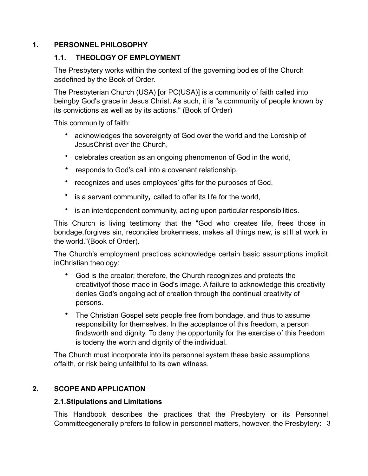## **1. PERSONNEL PHILOSOPHY**

#### **1.1. THEOLOGY OF EMPLOYMENT**

The Presbytery works within the context of the governing bodies of the Church asdefined by the Book of Order.

The Presbyterian Church (USA) [or PC(USA)] is a community of faith called into beingby God's grace in Jesus Christ. As such, it is "a community of people known by its convictions as well as by its actions." (Book of Order)

This community of faith:

- acknowledges the sovereignty of God over the world and the Lordship of JesusChrist over the Church,
- celebrates creation as an ongoing phenomenon of God in the world,
- responds to God's call into a covenant relationship,
- recognizes and uses employees' gifts for the purposes of God,
- is a servant community*,* called to offer its life for the world,
- is an interdependent community, acting upon particular responsibilities.

This Church is living testimony that the "God who creates life, frees those in bondage,forgives sin, reconciles brokenness, makes all things new, is still at work in the world."(Book of Order).

The Church's employment practices acknowledge certain basic assumptions implicit inChristian theology:

- God is the creator; therefore, the Church recognizes and protects the creativityof those made in God's image. A failure to acknowledge this creativity denies God's ongoing act of creation through the continual creativity of persons.
- The Christian Gospel sets people free from bondage, and thus to assume responsibility for themselves. In the acceptance of this freedom, a person findsworth and dignity. To deny the opportunity for the exercise of this freedom is todeny the worth and dignity of the individual.

The Church must incorporate into its personnel system these basic assumptions offaith, or risk being unfaithful to its own witness.

# **2. SCOPE AND APPLICATION**

#### **2.1.Stipulations and Limitations**

Committeegenerally prefers to follow in personnel matters, however, the Presbytery: 3 This Handbook describes the practices that the Presbytery or its Personnel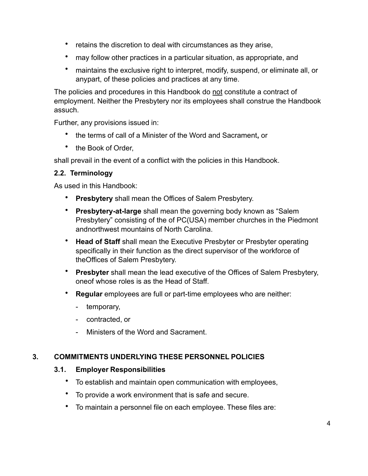- retains the discretion to deal with circumstances as they arise,
- may follow other practices in a particular situation, as appropriate, and
- maintains the exclusive right to interpret, modify, suspend, or eliminate all, or anypart, of these policies and practices at any time.

The policies and procedures in this Handbook do not constitute a contract of employment. Neither the Presbytery nor its employees shall construe the Handbook assuch.

Further, any provisions issued in:

- the terms of call of a Minister of the Word and Sacrament**,** or
- the Book of Order,

shall prevail in the event of a conflict with the policies in this Handbook.

## **2.2. Terminology**

As used in this Handbook:

- **Presbytery** shall mean the Offices of Salem Presbytery.
- **Presbytery-at-large** shall mean the governing body known as "Salem Presbytery" consisting of the of PC(USA) member churches in the Piedmont andnorthwest mountains of North Carolina.
- **Head of Staff** shall mean the Executive Presbyter or Presbyter operating specifically in their function as the direct supervisor of the workforce of theOffices of Salem Presbytery.
- **Presbyter** shall mean the lead executive of the Offices of Salem Presbytery, oneof whose roles is as the Head of Staff.
- **Regular** employees are full or part-time employees who are neither:
	- temporary,
	- contracted, or
	- Ministers of the Word and Sacrament.

# **3. COMMITMENTS UNDERLYING THESE PERSONNEL POLICIES**

#### **3.1. Employer Responsibilities**

- To establish and maintain open communication with employees,
- To provide a work environment that is safe and secure.
- To maintain a personnel file on each employee. These files are: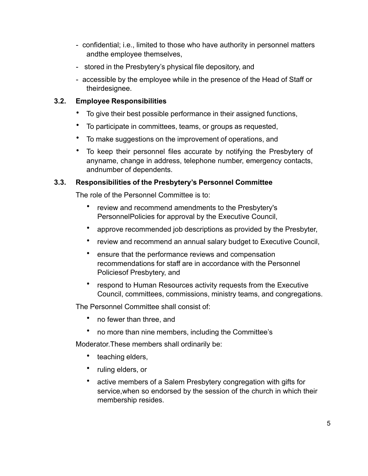- confidential; i.e., limited to those who have authority in personnel matters andthe employee themselves,
- stored in the Presbytery's physical file depository, and
- accessible by the employee while in the presence of the Head of Staff or theirdesignee.

#### **3.2. Employee Responsibilities**

- To give their best possible performance in their assigned functions,
- To participate in committees, teams, or groups as requested,
- To make suggestions on the improvement of operations, and
- To keep their personnel files accurate by notifying the Presbytery of anyname, change in address, telephone number, emergency contacts, andnumber of dependents.

#### **3.3. Responsibilities of the Presbytery's Personnel Committee**

The role of the Personnel Committee is to:

- review and recommend amendments to the Presbytery's PersonnelPolicies for approval by the Executive Council,
- approve recommended job descriptions as provided by the Presbyter,
- review and recommend an annual salary budget to Executive Council,
- ensure that the performance reviews and compensation recommendations for staff are in accordance with the Personnel Policiesof Presbytery, and
- respond to Human Resources activity requests from the Executive Council, committees, commissions, ministry teams, and congregations.

The Personnel Committee shall consist of:

- no fewer than three, and
- no more than nine members, including the Committee's

Moderator.These members shall ordinarily be:

- teaching elders,
- ruling elders, or
- active members of a Salem Presbytery congregation with gifts for service,when so endorsed by the session of the church in which their membership resides.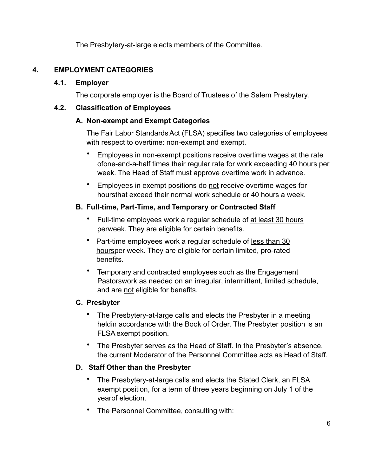The Presbytery-at-large elects members of the Committee.

# **4. EMPLOYMENT CATEGORIES**

## **4.1. Employer**

The corporate employer is the Board of Trustees of the Salem Presbytery.

## **4.2. Classification of Employees**

## **A. Non-exempt and Exempt Categories**

The Fair Labor StandardsAct (FLSA) specifies two categories of employees with respect to overtime: non-exempt and exempt.

- Employees in non-exempt positions receive overtime wages at the rate ofone-and-a-half times their regular rate for work exceeding 40 hours per week. The Head of Staff must approve overtime work in advance.
- Employees in exempt positions do not receive overtime wages for hoursthat exceed their normal work schedule or 40 hours a week.

# **B. Full-time, Part-Time, and Temporary or Contracted Staff**

- Full-time employees work a regular schedule of at least 30 hours perweek. They are eligible for certain benefits.
- Part-time employees work a regular schedule of less than 30 hoursper week. They are eligible for certain limited, pro-rated benefits.
- Temporary and contracted employees such as the Engagement Pastorswork as needed on an irregular, intermittent, limited schedule, and are not eligible for benefits.

# **C. Presbyter**

- The Presbytery-at-large calls and elects the Presbyter in a meeting heldin accordance with the Book of Order. The Presbyter position is an FLSAexempt position.
- The Presbyter serves as the Head of Staff. In the Presbyter's absence, the current Moderator of the Personnel Committee acts as Head of Staff.

# **D. Staff Other than the Presbyter**

- The Presbytery-at-large calls and elects the Stated Clerk, an FLSA exempt position, for a term of three years beginning on July 1 of the yearof election.
- The Personnel Committee, consulting with: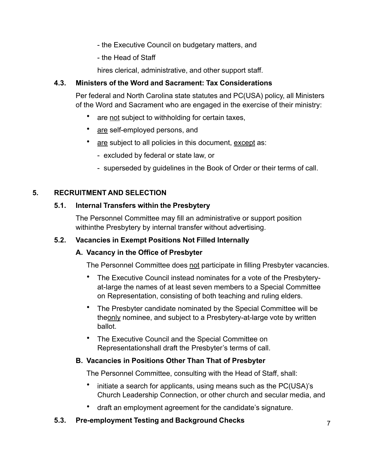- the Executive Council on budgetary matters, and
- the Head of Staff

hires clerical, administrative, and other support staff.

## **4.3. Ministers of the Word and Sacrament: Tax Considerations**

Per federal and North Carolina state statutes and PC(USA) policy, all Ministers of the Word and Sacrament who are engaged in the exercise of their ministry:

- are not subject to withholding for certain taxes,
- are self-employed persons, and
- are subject to all policies in this document, except as:
	- excluded by federal or state law, or
	- superseded by guidelines in the Book of Order or their terms of call.

## **5. RECRUITMENT AND SELECTION**

#### **5.1. Internal Transfers within the Presbytery**

The Personnel Committee may fill an administrative or support position withinthe Presbytery by internal transfer without advertising.

#### **5.2. Vacancies in Exempt Positions Not Filled Internally**

#### **A. Vacancy in the Office of Presbyter**

The Personnel Committee does not participate in filling Presbyter vacancies.

- The Executive Council instead nominates for a vote of the Presbyteryat-large the names of at least seven members to a Special Committee on Representation, consisting of both teaching and ruling elders.
- The Presbyter candidate nominated by the Special Committee will be theonly nominee, and subject to a Presbytery-at-large vote by written ballot.
- The Executive Council and the Special Committee on Representationshall draft the Presbyter's terms of call.

#### **B. Vacancies in Positions Other Than That of Presbyter**

The Personnel Committee, consulting with the Head of Staff, shall:

- initiate a search for applicants, using means such as the PC(USA)'s Church Leadership Connection, or other church and secular media, and
- draft an employment agreement for the candidate's signature.

#### **5.3. Pre-employment Testing and Background Checks**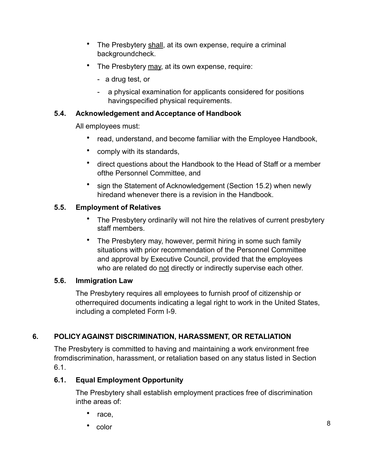- The Presbytery shall, at its own expense, require a criminal backgroundcheck.
- The Presbytery may, at its own expense, require:
	- a drug test, or
	- a physical examination for applicants considered for positions havingspecified physical requirements.

# **5.4. Acknowledgement and Acceptance of Handbook**

All employees must:

- read, understand, and become familiar with the Employee Handbook,
- comply with its standards,
- direct questions about the Handbook to the Head of Staff or a member ofthe Personnel Committee, and
- sign the Statement of Acknowledgement (Section 15.2) when newly hiredand whenever there is a revision in the Handbook.

# **5.5. Employment of Relatives**

- The Presbytery ordinarily will not hire the relatives of current presbytery staff members.
- The Presbytery may, however, permit hiring in some such family situations with prior recommendation of the Personnel Committee and approval by Executive Council, provided that the employees who are related do not directly or indirectly supervise each other.

#### **5.6. Immigration Law**

The Presbytery requires all employees to furnish proof of citizenship or otherrequired documents indicating a legal right to work in the United States, including a completed Form I-9.

# **6. POLICY AGAINST DISCRIMINATION, HARASSMENT, OR RETALIATION**

The Presbytery is committed to having and maintaining a work environment free fromdiscrimination, harassment, or retaliation based on any status listed in Section 6.1.

# **6.1. Equal Employment Opportunity**

The Presbytery shall establish employment practices free of discrimination inthe areas of:

- race,
- color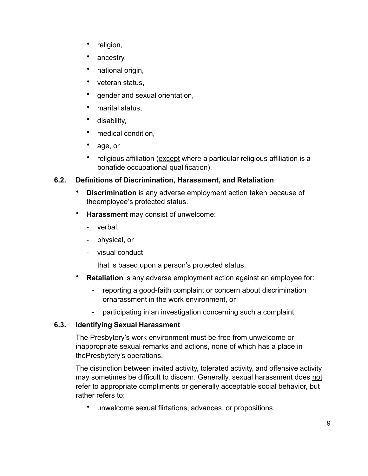- religion,
- ancestry,
- national origin,
- veteran status,
- gender and sexual orientation,
- marital status,
- disability,
- medical condition,
- age, or
- religious affiliation (except where a particular religious affiliation is a bonafide occupational qualification).

# **6.2. Definitions of Discrimination, Harassment, and Retaliation**

- **Discrimination** is any adverse employment action taken because of theemployee's protected status.
- **Harassment** may consist of unwelcome:
	- verbal,
	- physical, or
	- visual conduct

that is based upon a person's protected status.

- **Retaliation** is any adverse employment action against an employee for:
	- reporting a good-faith complaint or concern about discrimination orharassment in the work environment, or
	- participating in an investigation concerning such a complaint.

# **6.3. Identifying Sexual Harassment**

The Presbytery's work environment must be free from unwelcome or inappropriate sexual remarks and actions, none of which has a place in thePresbytery's operations.

The distinction between invited activity, tolerated activity, and offensive activity may sometimes be difficult to discern. Generally, sexual harassment does not refer to appropriate compliments or generally acceptable social behavior, but rather refers to:

• unwelcome sexual flirtations, advances, or propositions,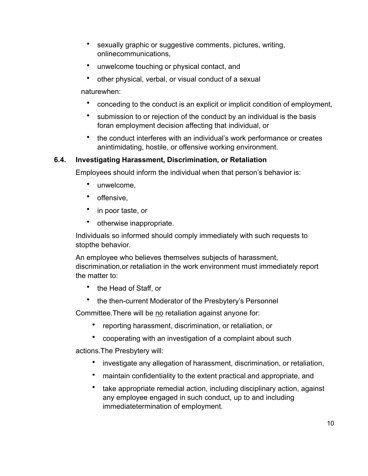- sexually graphic or suggestive comments, pictures, writing, onlinecommunications,
- unwelcome touching or physical contact, and
- other physical, verbal, or visual conduct of a sexual

naturewhen:

- conceding to the conduct is an explicit or implicit condition of employment,
- submission to or rejection of the conduct by an individual is the basis foran employment decision affecting that individual, or
- the conduct interferes with an individual's work performance or creates anintimidating, hostile, or offensive working environment.

#### **6.4. Investigating Harassment, Discrimination, or Retaliation**

Employees should inform the individual when that person's behavior is:

- unwelcome,
- offensive,
- in poor taste, or
- otherwise inappropriate.

Individuals so informed should comply immediately with such requests to stopthe behavior.

An employee who believes themselves subjects of harassment, discrimination,or retaliation in the work environment must immediately report the matter to:

- the Head of Staff, or
- the then-current Moderator of the Presbytery's Personnel

Committee. There will be no retaliation against anyone for:

- reporting harassment, discrimination, or retaliation, or
- cooperating with an investigation of a complaint about such

actions.The Presbytery will:

- investigate any allegation of harassment, discrimination, or retaliation,
- maintain confidentiality to the extent practical and appropriate, and
- take appropriate remedial action, including disciplinary action, against any employee engaged in such conduct, up to and including immediatetermination of employment.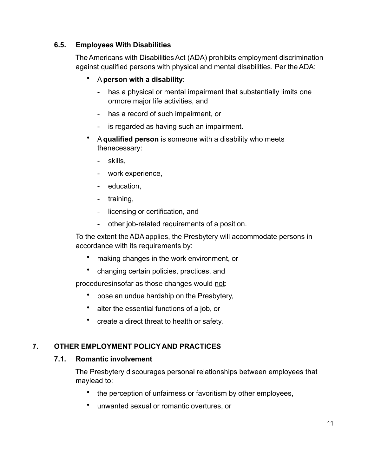## **6.5. Employees With Disabilities**

TheAmericans with DisabilitiesAct (ADA) prohibits employment discrimination against qualified persons with physical and mental disabilities. Per theADA:

- A**person with a disability**:
	- has a physical or mental impairment that substantially limits one ormore major life activities, and
	- has a record of such impairment, or
	- is regarded as having such an impairment.
- A**qualified person** is someone with a disability who meets thenecessary:
	- skills,
	- work experience,
	- education,
	- training,
	- licensing or certification, and
	- other job-related requirements of a position.

To the extent theADAapplies, the Presbytery will accommodate persons in accordance with its requirements by:

- making changes in the work environment, or
- changing certain policies, practices, and

proceduresinsofar as those changes would not:

- pose an undue hardship on the Presbytery,
- alter the essential functions of a job, or
- create a direct threat to health or safety.

#### **7. OTHER EMPLOYMENT POLICY AND PRACTICES**

#### **7.1. Romantic involvement**

The Presbytery discourages personal relationships between employees that maylead to:

- the perception of unfairness or favoritism by other employees,
- unwanted sexual or romantic overtures, or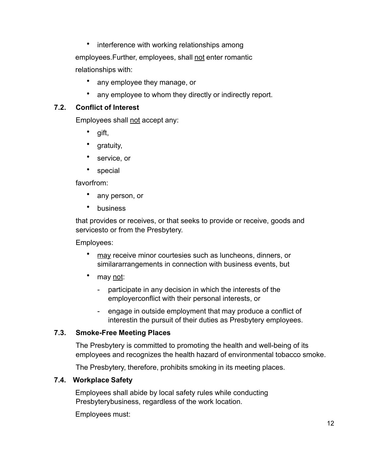• interference with working relationships among employees. Further, employees, shall not enter romantic relationships with:

- any employee they manage, or
- any employee to whom they directly or indirectly report.

# **7.2. Conflict of Interest**

Employees shall not accept any:

- gift,
- gratuity,
- service, or
- special

favorfrom:

- any person, or
- **business**

that provides or receives, or that seeks to provide or receive, goods and servicesto or from the Presbytery.

Employees:

- may receive minor courtesies such as luncheons, dinners, or similararrangements in connection with business events, but
- may not:
	- participate in any decision in which the interests of the employerconflict with their personal interests, or
	- engage in outside employment that may produce a conflict of interestin the pursuit of their duties as Presbytery employees.

# **7.3. Smoke-Free Meeting Places**

The Presbytery is committed to promoting the health and well-being of its employees and recognizes the health hazard of environmental tobacco smoke.

The Presbytery, therefore, prohibits smoking in its meeting places.

# **7.4. Workplace Safety**

Employees shall abide by local safety rules while conducting Presbyterybusiness, regardless of the work location.

Employees must: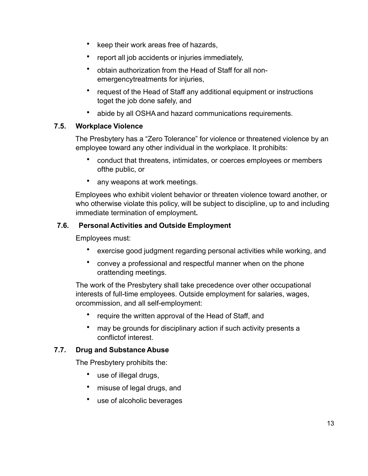- keep their work areas free of hazards,
- report all job accidents or injuries immediately,
- obtain authorization from the Head of Staff for all nonemergencytreatments for injuries,
- request of the Head of Staff any additional equipment or instructions toget the job done safely, and
- abide by all OSHAand hazard communications requirements.

#### **7.5. Workplace Violence**

The Presbytery has a "Zero Tolerance" for violence or threatened violence by an employee toward any other individual in the workplace. It prohibits:

- conduct that threatens, intimidates, or coerces employees or members ofthe public, or
- any weapons at work meetings.

Employees who exhibit violent behavior or threaten violence toward another, or who otherwise violate this policy, will be subject to discipline, up to and including immediate termination of employment**.**

#### **7.6. Personal Activities and Outside Employment**

Employees must:

- exercise good judgment regarding personal activities while working, and
- convey a professional and respectful manner when on the phone orattending meetings.

The work of the Presbytery shall take precedence over other occupational interests of full-time employees. Outside employment for salaries, wages, orcommission, and all self-employment:

- require the written approval of the Head of Staff, and
- may be grounds for disciplinary action if such activity presents a conflictof interest.

#### **7.7. Drug and Substance Abuse**

The Presbytery prohibits the:

- use of illegal drugs,
- misuse of legal drugs, and
- use of alcoholic beverages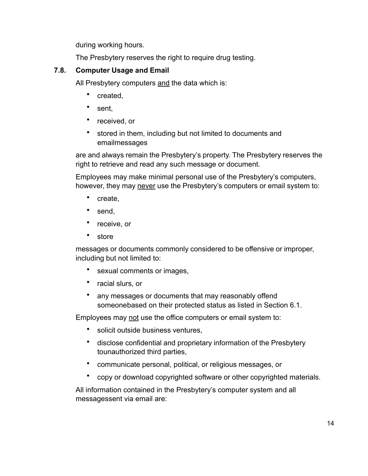during working hours.

The Presbytery reserves the right to require drug testing.

# **7.8. Computer Usage and Email**

All Presbytery computers and the data which is:

- created,
- sent,
- received, or
- stored in them, including but not limited to documents and emailmessages

are and always remain the Presbytery's property. The Presbytery reserves the right to retrieve and read any such message or document.

Employees may make minimal personal use of the Presbytery's computers, however, they may never use the Presbytery's computers or email system to:

- create,
- send.
- receive, or
- store

messages or documents commonly considered to be offensive or improper, including but not limited to:

- sexual comments or images,
- racial slurs, or
- any messages or documents that may reasonably offend someonebased on their protected status as listed in Section 6.1.

Employees may not use the office computers or email system to:

- solicit outside business ventures,
- disclose confidential and proprietary information of the Presbytery tounauthorized third parties,
- communicate personal, political, or religious messages, or
- copy or download copyrighted software or other copyrighted materials.

All information contained in the Presbytery's computer system and all messagessent via email are: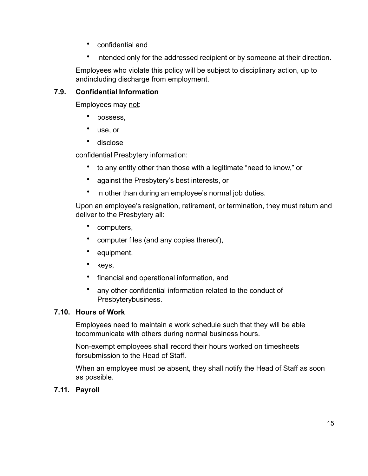- confidential and
- intended only for the addressed recipient or by someone at their direction.

Employees who violate this policy will be subject to disciplinary action, up to andincluding discharge from employment.

# **7.9. Confidential Information**

Employees may not:

- possess,
- use, or
- disclose

confidential Presbytery information:

- to any entity other than those with a legitimate "need to know," or
- against the Presbytery's best interests, or
- in other than during an employee's normal job duties.

Upon an employee's resignation, retirement, or termination, they must return and deliver to the Presbytery all:

- computers,
- computer files (and any copies thereof),
- equipment,
- keys,
- financial and operational information, and
- any other confidential information related to the conduct of Presbyterybusiness.

#### **7.10. Hours of Work**

Employees need to maintain a work schedule such that they will be able tocommunicate with others during normal business hours.

Non-exempt employees shall record their hours worked on timesheets forsubmission to the Head of Staff.

When an employee must be absent, they shall notify the Head of Staff as soon as possible.

# **7.11. Payroll**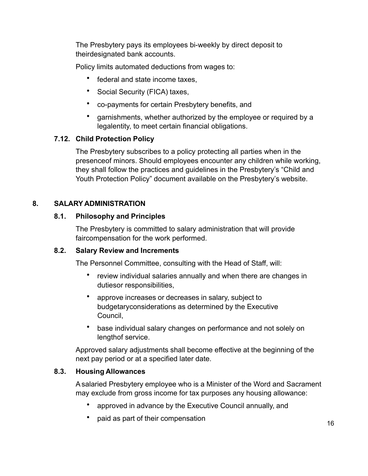The Presbytery pays its employees bi-weekly by direct deposit to theirdesignated bank accounts.

Policy limits automated deductions from wages to:

- federal and state income taxes,
- Social Security (FICA) taxes,
- co-payments for certain Presbytery benefits, and
- garnishments, whether authorized by the employee or required by a legalentity, to meet certain financial obligations.

## **7.12. Child Protection Policy**

The Presbytery subscribes to a policy protecting all parties when in the presenceof minors. Should employees encounter any children while working, they shall follow the practices and guidelines in the Presbytery's "Child and Youth Protection Policy" document available on the Presbytery's website.

## **8. SALARY ADMINISTRATION**

#### **8.1. Philosophy and Principles**

The Presbytery is committed to salary administration that will provide faircompensation for the work performed.

#### **8.2. Salary Review and Increments**

The Personnel Committee, consulting with the Head of Staff, will:

- review individual salaries annually and when there are changes in dutiesor responsibilities,
- approve increases or decreases in salary, subject to budgetaryconsiderations as determined by the Executive Council,
- base individual salary changes on performance and not solely on lengthof service.

Approved salary adjustments shall become effective at the beginning of the next pay period or at a specified later date.

# **8.3. Housing Allowances**

Asalaried Presbytery employee who is a Minister of the Word and Sacrament may exclude from gross income for tax purposes any housing allowance:

- approved in advance by the Executive Council annually, and
- paid as part of their compensation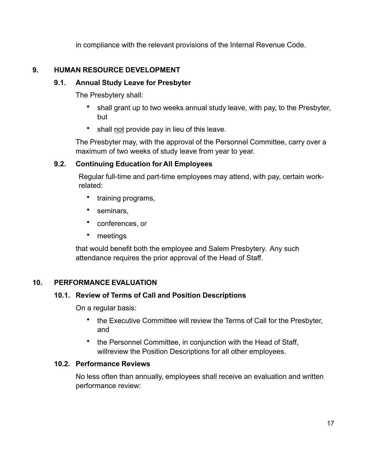in compliance with the relevant provisions of the Internal Revenue Code.

## **9. HUMAN RESOURCE DEVELOPMENT**

## **9.1. Annual Study Leave for Presbyter**

The Presbytery shall:

- shall grant up to two weeks annual study leave, with pay, to the Presbyter, but
- shall not provide pay in lieu of this leave.

The Presbyter may, with the approval of the Personnel Committee, carry over a maximum of two weeks of study leave from year to year.

## **9.2. Continuing Education for All Employees**

Regular full-time and part-time employees may attend, with pay, certain workrelated:

- training programs,
- seminars.
- conferences, or
- meetings

that would benefit both the employee and Salem Presbytery. Any such attendance requires the prior approval of the Head of Staff.

# **10. PERFORMANCE EVALUATION**

#### **10.1. Review of Terms of Call and Position Descriptions**

On a regular basis:

- the Executive Committee will review the Terms of Call for the Presbyter, and
- the Personnel Committee, in conjunction with the Head of Staff, willreview the Position Descriptions for all other employees.

#### **10.2. Performance Reviews**

No less often than annually, employees shall receive an evaluation and written performance review: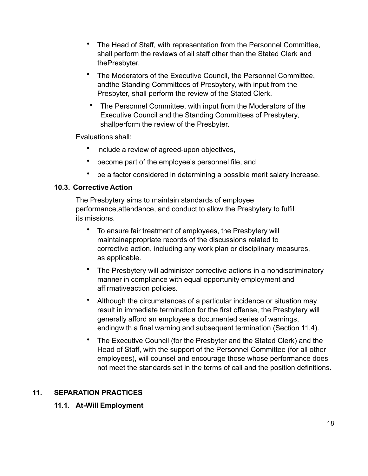- The Head of Staff, with representation from the Personnel Committee, shall perform the reviews of all staff other than the Stated Clerk and thePresbyter.
- The Moderators of the Executive Council, the Personnel Committee, andthe Standing Committees of Presbytery, with input from the Presbyter, shall perform the review of the Stated Clerk.
- The Personnel Committee, with input from the Moderators of the Executive Council and the Standing Committees of Presbytery, shallperform the review of the Presbyter.

Evaluations shall:

- include a review of agreed-upon objectives,
- become part of the employee's personnel file, and
- be a factor considered in determining a possible merit salary increase.

#### **10.3. Corrective Action**

The Presbytery aims to maintain standards of employee performance,attendance, and conduct to allow the Presbytery to fulfill its missions.

- To ensure fair treatment of employees, the Presbytery will maintainappropriate records of the discussions related to corrective action, including any work plan or disciplinary measures, as applicable.
- The Presbytery will administer corrective actions in a nondiscriminatory manner in compliance with equal opportunity employment and affirmativeaction policies.
- Although the circumstances of a particular incidence or situation may result in immediate termination for the first offense, the Presbytery will generally afford an employee a documented series of warnings, endingwith a final warning and subsequent termination (Section 11.4).
- The Executive Council (for the Presbyter and the Stated Clerk) and the Head of Staff, with the support of the Personnel Committee (for all other employees), will counsel and encourage those whose performance does not meet the standards set in the terms of call and the position definitions.

#### **11. SEPARATION PRACTICES**

#### **11.1. At-Will Employment**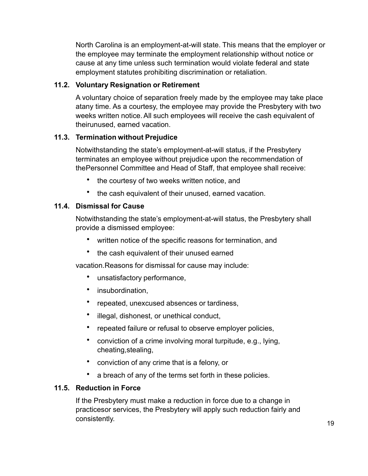North Carolina is an employment-at-will state. This means that the employer or the employee may terminate the employment relationship without notice or cause at any time unless such termination would violate federal and state employment statutes prohibiting discrimination or retaliation.

## **11.2. Voluntary Resignation or Retirement**

A voluntary choice of separation freely made by the employee may take place atany time. As a courtesy, the employee may provide the Presbytery with two weeks written notice.All such employees will receive the cash equivalent of theirunused, earned vacation.

## **11.3. Termination without Prejudice**

Notwithstanding the state's employment-at-will status, if the Presbytery terminates an employee without prejudice upon the recommendation of thePersonnel Committee and Head of Staff, that employee shall receive:

- the courtesy of two weeks written notice, and
- the cash equivalent of their unused, earned vacation.

# **11.4. Dismissal for Cause**

Notwithstanding the state's employment-at-will status, the Presbytery shall provide a dismissed employee:

- written notice of the specific reasons for termination, and
- the cash equivalent of their unused earned

vacation.Reasons for dismissal for cause may include:

- unsatisfactory performance,
- insubordination,
- repeated, unexcused absences or tardiness,
- illegal, dishonest, or unethical conduct,
- repeated failure or refusal to observe employer policies,
- conviction of a crime involving moral turpitude, e.g., lying, cheating,stealing,
- conviction of any crime that is a felony, or
- a breach of any of the terms set forth in these policies.

#### **11.5. Reduction in Force**

If the Presbytery must make a reduction in force due to a change in practicesor services, the Presbytery will apply such reduction fairly and consistently.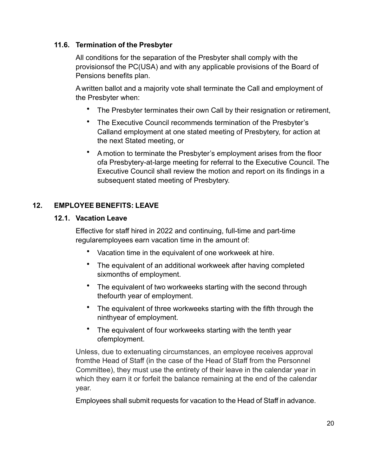#### **11.6. Termination of the Presbyter**

All conditions for the separation of the Presbyter shall comply with the provisionsof the PC(USA) and with any applicable provisions of the Board of Pensions benefits plan.

A written ballot and a majority vote shall terminate the Call and employment of the Presbyter when:

- The Presbyter terminates their own Call by their resignation or retirement,
- The Executive Council recommends termination of the Presbyter's Calland employment at one stated meeting of Presbytery, for action at the next Stated meeting, or
- A motion to terminate the Presbyter's employment arises from the floor ofa Presbytery-at-large meeting for referral to the Executive Council. The Executive Council shall review the motion and report on its findings in a subsequent stated meeting of Presbytery.

## **12. EMPLOYEE BENEFITS: LEAVE**

#### **12.1. Vacation Leave**

Effective for staff hired in 2022 and continuing, full-time and part-time regularemployees earn vacation time in the amount of:

- Vacation time in the equivalent of one workweek at hire.
- The equivalent of an additional workweek after having completed sixmonths of employment.
- The equivalent of two workweeks starting with the second through thefourth year of employment.
- The equivalent of three workweeks starting with the fifth through the ninthyear of employment.
- The equivalent of four workweeks starting with the tenth year ofemployment.

Unless, due to extenuating circumstances, an employee receives approval fromthe Head of Staff (in the case of the Head of Staff from the Personnel Committee), they must use the entirety of their leave in the calendar year in which they earn it or forfeit the balance remaining at the end of the calendar year.

Employees shall submit requests for vacation to the Head of Staff in advance.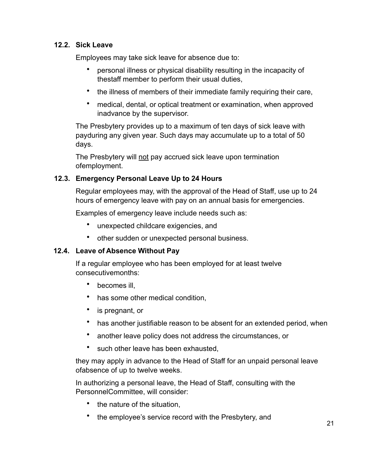## **12.2. Sick Leave**

Employees may take sick leave for absence due to:

- personal illness or physical disability resulting in the incapacity of thestaff member to perform their usual duties,
- the illness of members of their immediate family requiring their care,
- medical, dental, or optical treatment or examination, when approved inadvance by the supervisor.

The Presbytery provides up to a maximum of ten days of sick leave with payduring any given year. Such days may accumulate up to a total of 50 days.

The Presbytery will not pay accrued sick leave upon termination ofemployment.

## **12.3. Emergency Personal Leave Up to 24 Hours**

Regular employees may, with the approval of the Head of Staff, use up to 24 hours of emergency leave with pay on an annual basis for emergencies.

Examples of emergency leave include needs such as:

- unexpected childcare exigencies, and
- other sudden or unexpected personal business.

# **12.4. Leave of Absence Without Pay**

If a regular employee who has been employed for at least twelve consecutivemonths:

- becomes ill,
- has some other medical condition,
- is pregnant, or
- has another justifiable reason to be absent for an extended period, when
- another leave policy does not address the circumstances, or
- such other leave has been exhausted,

they may apply in advance to the Head of Staff for an unpaid personal leave ofabsence of up to twelve weeks.

In authorizing a personal leave, the Head of Staff, consulting with the PersonnelCommittee, will consider:

- the nature of the situation.
- the employee's service record with the Presbytery, and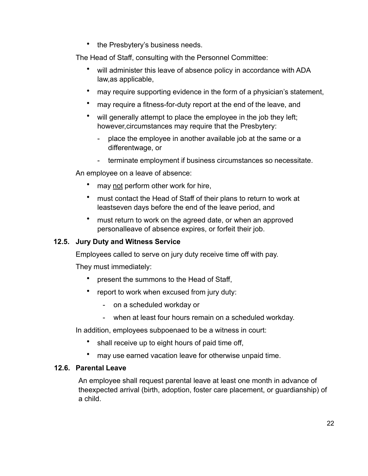• the Presbytery's business needs.

The Head of Staff, consulting with the Personnel Committee:

- will administer this leave of absence policy in accordance with ADA law,as applicable,
- may require supporting evidence in the form of a physician's statement,
- may require a fitness-for-duty report at the end of the leave, and
- will generally attempt to place the employee in the job they left; however,circumstances may require that the Presbytery:
	- place the employee in another available job at the same or a differentwage, or
	- terminate employment if business circumstances so necessitate.

An employee on a leave of absence:

- may not perform other work for hire,
- must contact the Head of Staff of their plans to return to work at leastseven days before the end of the leave period, and
- must return to work on the agreed date, or when an approved personalleave of absence expires, or forfeit their job.

#### **12.5. Jury Duty and Witness Service**

Employees called to serve on jury duty receive time off with pay.

They must immediately:

- present the summons to the Head of Staff,
- report to work when excused from jury duty:
	- on a scheduled workday or
	- when at least four hours remain on a scheduled workday.

In addition, employees subpoenaed to be a witness in court:

- shall receive up to eight hours of paid time off,
- may use earned vacation leave for otherwise unpaid time.

## **12.6. Parental Leave**

An employee shall request parental leave at least one month in advance of theexpected arrival (birth, adoption, foster care placement, or guardianship) of a child.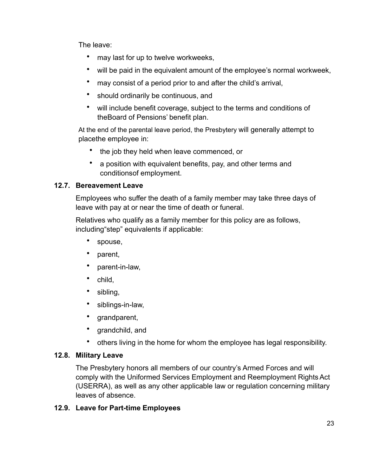The leave:

- may last for up to twelve workweeks,
- will be paid in the equivalent amount of the employee's normal workweek,
- may consist of a period prior to and after the child's arrival,
- should ordinarily be continuous, and
- will include benefit coverage, subject to the terms and conditions of theBoard of Pensions' benefit plan.

At the end of the parental leave period, the Presbytery will generally attempt to placethe employee in:

- the job they held when leave commenced, or
- a position with equivalent benefits, pay, and other terms and conditionsof employment.

# **12.7. Bereavement Leave**

Employees who suffer the death of a family member may take three days of leave with pay at or near the time of death or funeral.

Relatives who qualify as a family member for this policy are as follows, including"step" equivalents if applicable:

- spouse,
- parent,
- parent-in-law,
- child,
- sibling,
- siblings-in-law,
- grandparent,
- grandchild, and
- others living in the home for whom the employee has legal responsibility.

# **12.8. Military Leave**

The Presbytery honors all members of our country's Armed Forces and will comply with the Uniformed Services Employment and Reemployment RightsAct (USERRA), as well as any other applicable law or regulation concerning military leaves of absence.

# **12.9. Leave for Part-time Employees**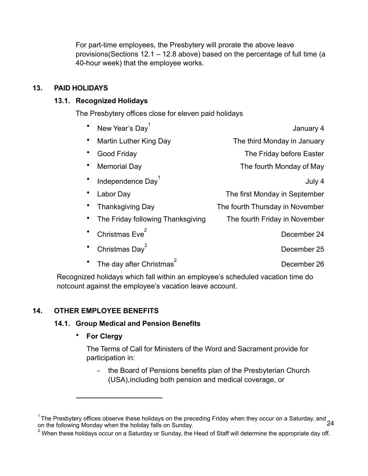For part-time employees, the Presbytery will prorate the above leave provisions(Sections 12.1 – 12.8 above) based on the percentage of full time (a 40-hour week) that the employee works.

## **13. PAID HOLIDAYS**

## **13.1. Recognized Holidays**

The Presbytery offices close for eleven paid holidays

| New Year's Day <sup>1</sup>       | January 4                       |
|-----------------------------------|---------------------------------|
| Martin Luther King Day            | The third Monday in January     |
| Good Friday                       | The Friday before Easter        |
| <b>Memorial Day</b>               | The fourth Monday of May        |
| Independence Day <sup>1</sup>     | July 4                          |
| Labor Day                         | The first Monday in September   |
| <b>Thanksgiving Day</b>           | The fourth Thursday in November |
| The Friday following Thanksgiving | The fourth Friday in November   |
| Christmas Eve <sup>2</sup>        | December 24                     |
| Christmas Day <sup>2</sup>        | December 25                     |
| The day after Christmas           | December 26                     |

Recognized holidays which fall within an employee's scheduled vacation time do notcount against the employee's vacation leave account.

# **14. OTHER EMPLOYEE BENEFITS**

# **14.1. Group Medical and Pension Benefits**

• **For Clergy**

The Terms of Call for Ministers of the Word and Sacrament provide for participation in:

the Board of Pensions benefits plan of the Presbyterian Church (USA),including both pension and medical coverage, or

<span id="page-24-0"></span><sup>24</sup>  $1$ The Presbytery offices observe these holidays on the preceding Friday when they occur on a Saturday, and on the following Monday when the holiday falls on Sunday.

<span id="page-24-1"></span> $2$  When these holidays occur on a Saturday or Sunday, the Head of Staff will determine the appropriate day off.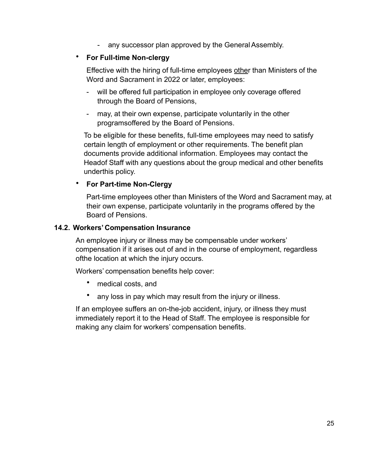any successor plan approved by the General Assembly.

#### • **For Full-time Non-clergy**

Effective with the hiring of full-time employees other than Ministers of the Word and Sacrament in 2022 or later, employees:

- will be offered full participation in employee only coverage offered through the Board of Pensions,
- may, at their own expense, participate voluntarily in the other programsoffered by the Board of Pensions.

To be eligible for these benefits, full-time employees may need to satisfy certain length of employment or other requirements. The benefit plan documents provide additional information. Employees may contact the Headof Staff with any questions about the group medical and other benefits underthis policy.

#### • **For Part-time Non-Clergy**

Part-time employees other than Ministers of the Word and Sacrament may, at their own expense, participate voluntarily in the programs offered by the Board of Pensions.

#### **14.2. Workers' Compensation Insurance**

An employee injury or illness may be compensable under workers' compensation if it arises out of and in the course of employment, regardless ofthe location at which the injury occurs.

Workers' compensation benefits help cover:

- medical costs, and
- any loss in pay which may result from the injury or illness.

If an employee suffers an on-the-job accident, injury, or illness they must immediately report it to the Head of Staff. The employee is responsible for making any claim for workers' compensation benefits.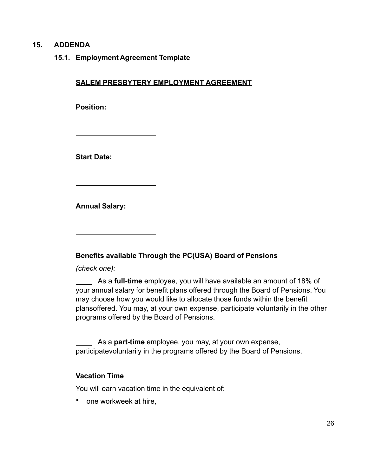#### **15. ADDENDA**

**15.1. Employment Agreement Template**

#### **SALEM PRESBYTERY EMPLOYMENT AGREEMENT**

**Position:**

**Start Date:**

**Annual Salary:**

**Benefits available Through the PC(USA) Board of Pensions**

*(check one):*

As a **full-time** employee, you will have available an amount of 18% of your annual salary for benefit plans offered through the Board of Pensions. You may choose how you would like to allocate those funds within the benefit plansoffered. You may, at your own expense, participate voluntarily in the other programs offered by the Board of Pensions.

As a **part-time** employee, you may, at your own expense, participatevoluntarily in the programs offered by the Board of Pensions.

#### **Vacation Time**

You will earn vacation time in the equivalent of:

• one workweek at hire,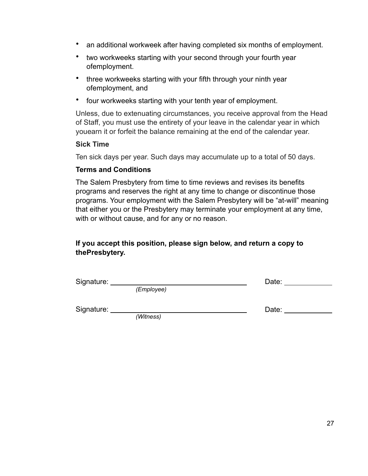- an additional workweek after having completed six months of employment.
- two workweeks starting with your second through your fourth year ofemployment.
- three workweeks starting with your fifth through your ninth year ofemployment, and
- four workweeks starting with your tenth year of employment.

Unless, due to extenuating circumstances, you receive approval from the Head of Staff, you must use the entirety of your leave in the calendar year in which youearn it or forfeit the balance remaining at the end of the calendar year.

#### **Sick Time**

Ten sick days per year. Such days may accumulate up to a total of 50 days.

#### **Terms and Conditions**

The Salem Presbytery from time to time reviews and revises its benefits programs and reserves the right at any time to change or discontinue those programs. Your employment with the Salem Presbytery will be "at-will" meaning that either you or the Presbytery may terminate your employment at any time, with or without cause, and for any or no reason.

## **If you accept this position, please sign below, and return a copy to thePresbytery.**

| Signature: |            | Date: |
|------------|------------|-------|
|            | (Employee) |       |
| Signature: |            | Date: |
|            | (Witness)  |       |